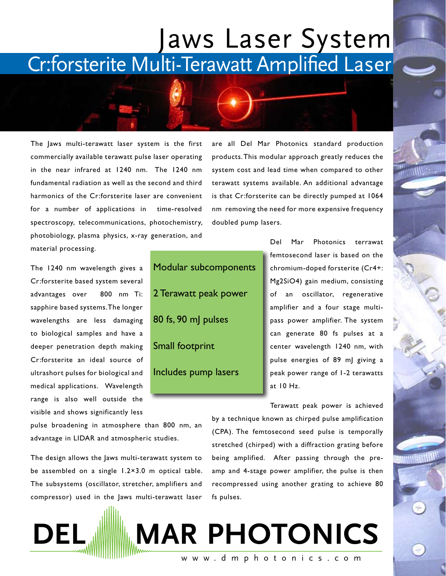## Jaws Laser System Cr:forsterite Multi-Terawatt Amplified Laser

The Jaws multi-terawatt laser system is the first commercially available terawatt pulse laser operating in the near infrared at 1240 nm. The 1240 nm fundamental radiation as well as the second and third harmonics of the Cr:forsterite laser are convenient for a number of applications in time-resolved spectroscopy, telecommunications, photochemistry, photobiology, plasma physics, x-ray generation, and material processing.

The 1240 nm wavelength gives a Cr:forsterite based system several advantages over 800 nm Ti: sapphire based systems. The longer wavelengths are less damaging to biological samples and have a deeper penetration depth making Cr:forsterite an ideal source of ultrashort pulses for biological and medical applications. Wavelength range is also well outside the visible and shows significantly less

Modular subcomponents 2 Terawatt peak power 80 fs, 90 mJ pulses Small footprint Includes pump lasers

are all Del Mar Photonics standard production products. This modular approach greatly reduces the system cost and lead time when compared to other terawatt systems available. An additional advantage is that Cr:forsterite can be directly pumped at 1064 nm removing the need for more expensive frequency doubled pump lasers.

> Del Mar Photonics terrawat femtosecond laser is based on the chromium-doped forsterite (Cr4+: Mg2SiO4) gain medium, consisting of an oscillator, regenerative amplifier and a four stage multipass power amplifier. The system can generate 80 fs pulses at a center wavelength 1240 nm, with pulse energies of 89 mJ giving a peak power range of 1-2 terawatts at 10 Hz.

pulse broadening in atmosphere than 800 nm, an advantage in LIDAR and atmospheric studies.

The design allows the Jaws multi-terawatt system to be assembled on a single 1.2×3.0 m optical table. The subsystems (oscillator, stretcher, amplifiers and compressor) used in the Jaws multi-terawatt laser

Terawatt peak power is achieved by a technique known as chirped pulse amplification (CPA). The femtosecond seed pulse is temporally stretched (chirped) with a diffraction grating before being amplified. After passing through the preamp and 4-stage power amplifier, the pulse is then recompressed using another grating to achieve 80 fs pulses.



**DEL MAR PHOTONICS**